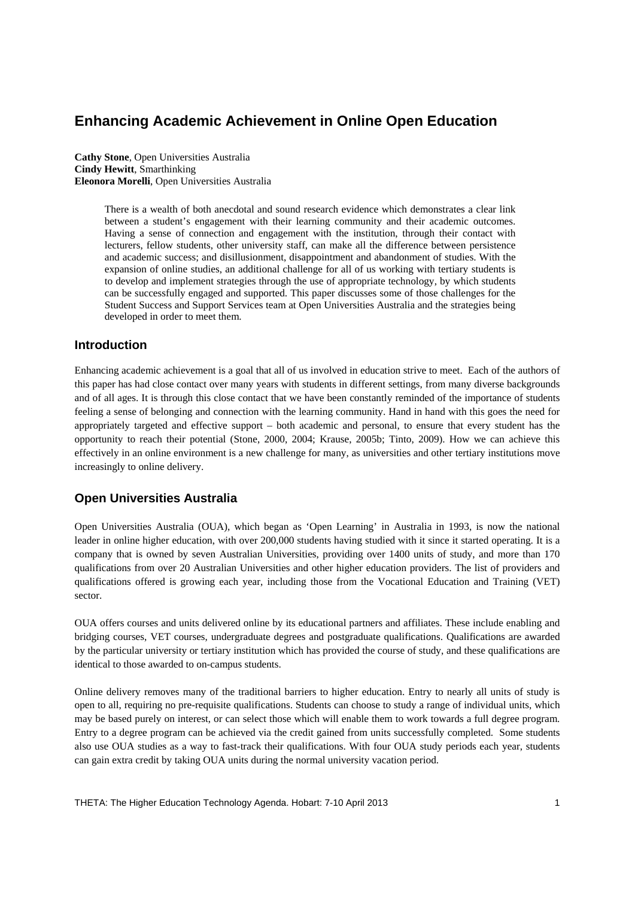# **Enhancing Academic Achievement in Online Open Education**

**Cathy Stone**, Open Universities Australia **Cindy Hewitt**, Smarthinking **Eleonora Morelli**, Open Universities Australia

> There is a wealth of both anecdotal and sound research evidence which demonstrates a clear link between a student's engagement with their learning community and their academic outcomes. Having a sense of connection and engagement with the institution, through their contact with lecturers, fellow students, other university staff, can make all the difference between persistence and academic success; and disillusionment, disappointment and abandonment of studies. With the expansion of online studies, an additional challenge for all of us working with tertiary students is to develop and implement strategies through the use of appropriate technology, by which students can be successfully engaged and supported. This paper discusses some of those challenges for the Student Success and Support Services team at Open Universities Australia and the strategies being developed in order to meet them.

# **Introduction**

Enhancing academic achievement is a goal that all of us involved in education strive to meet. Each of the authors of this paper has had close contact over many years with students in different settings, from many diverse backgrounds and of all ages. It is through this close contact that we have been constantly reminded of the importance of students feeling a sense of belonging and connection with the learning community. Hand in hand with this goes the need for appropriately targeted and effective support – both academic and personal, to ensure that every student has the opportunity to reach their potential (Stone, 2000, 2004; Krause, 2005b; Tinto, 2009). How we can achieve this effectively in an online environment is a new challenge for many, as universities and other tertiary institutions move increasingly to online delivery.

# **Open Universities Australia**

Open Universities Australia (OUA), which began as 'Open Learning' in Australia in 1993, is now the national leader in online higher education, with over 200,000 students having studied with it since it started operating. It is a company that is owned by seven Australian Universities, providing over 1400 units of study, and more than 170 qualifications from over 20 Australian Universities and other higher education providers. The list of providers and qualifications offered is growing each year, including those from the Vocational Education and Training (VET) sector.

OUA offers courses and units delivered online by its educational partners and affiliates. These include enabling and bridging courses, VET courses, undergraduate degrees and postgraduate qualifications. Qualifications are awarded by the particular university or tertiary institution which has provided the course of study, and these qualifications are identical to those awarded to on-campus students.

Online delivery removes many of the traditional barriers to higher education. Entry to nearly all units of study is open to all, requiring no pre-requisite qualifications. Students can choose to study a range of individual units, which may be based purely on interest, or can select those which will enable them to work towards a full degree program. Entry to a degree program can be achieved via the credit gained from units successfully completed. Some students also use OUA studies as a way to fast-track their qualifications. With four OUA study periods each year, students can gain extra credit by taking OUA units during the normal university vacation period.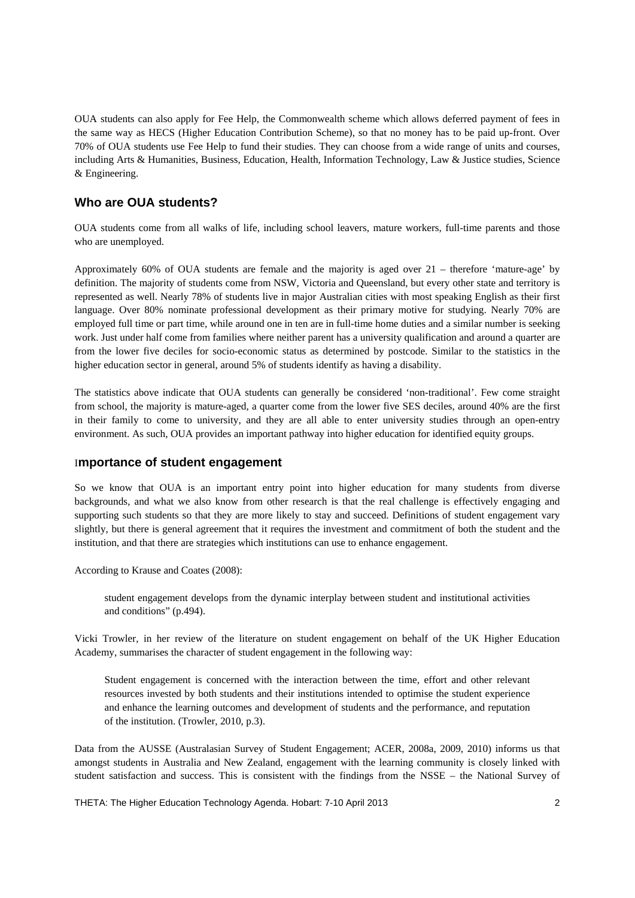OUA students can also apply for Fee Help, the Commonwealth scheme which allows deferred payment of fees in the same way as HECS (Higher Education Contribution Scheme), so that no money has to be paid up-front. Over 70% of OUA students use Fee Help to fund their studies. They can choose from a wide range of units and courses, including Arts & Humanities, Business, Education, Health, Information Technology, Law & Justice studies, Science & Engineering.

# **Who are OUA students?**

OUA students come from all walks of life, including school leavers, mature workers, full-time parents and those who are unemployed.

Approximately 60% of OUA students are female and the majority is aged over 21 – therefore 'mature-age' by definition. The majority of students come from NSW, Victoria and Queensland, but every other state and territory is represented as well. Nearly 78% of students live in major Australian cities with most speaking English as their first language. Over 80% nominate professional development as their primary motive for studying. Nearly 70% are employed full time or part time, while around one in ten are in full-time home duties and a similar number is seeking work. Just under half come from families where neither parent has a university qualification and around a quarter are from the lower five deciles for socio-economic status as determined by postcode. Similar to the statistics in the higher education sector in general, around 5% of students identify as having a disability.

The statistics above indicate that OUA students can generally be considered 'non-traditional'. Few come straight from school, the majority is mature-aged, a quarter come from the lower five SES deciles, around 40% are the first in their family to come to university, and they are all able to enter university studies through an open-entry environment. As such, OUA provides an important pathway into higher education for identified equity groups.

### I**mportance of student engagement**

So we know that OUA is an important entry point into higher education for many students from diverse backgrounds, and what we also know from other research is that the real challenge is effectively engaging and supporting such students so that they are more likely to stay and succeed. Definitions of student engagement vary slightly, but there is general agreement that it requires the investment and commitment of both the student and the institution, and that there are strategies which institutions can use to enhance engagement.

According to Krause and Coates (2008):

student engagement develops from the dynamic interplay between student and institutional activities and conditions" (p.494).

Vicki Trowler, in her review of the literature on student engagement on behalf of the UK Higher Education Academy, summarises the character of student engagement in the following way:

Student engagement is concerned with the interaction between the time, effort and other relevant resources invested by both students and their institutions intended to optimise the student experience and enhance the learning outcomes and development of students and the performance, and reputation of the institution. (Trowler, 2010, p.3).

Data from the AUSSE (Australasian Survey of Student Engagement; ACER, 2008a, 2009, 2010) informs us that amongst students in Australia and New Zealand, engagement with the learning community is closely linked with student satisfaction and success. This is consistent with the findings from the NSSE – the National Survey of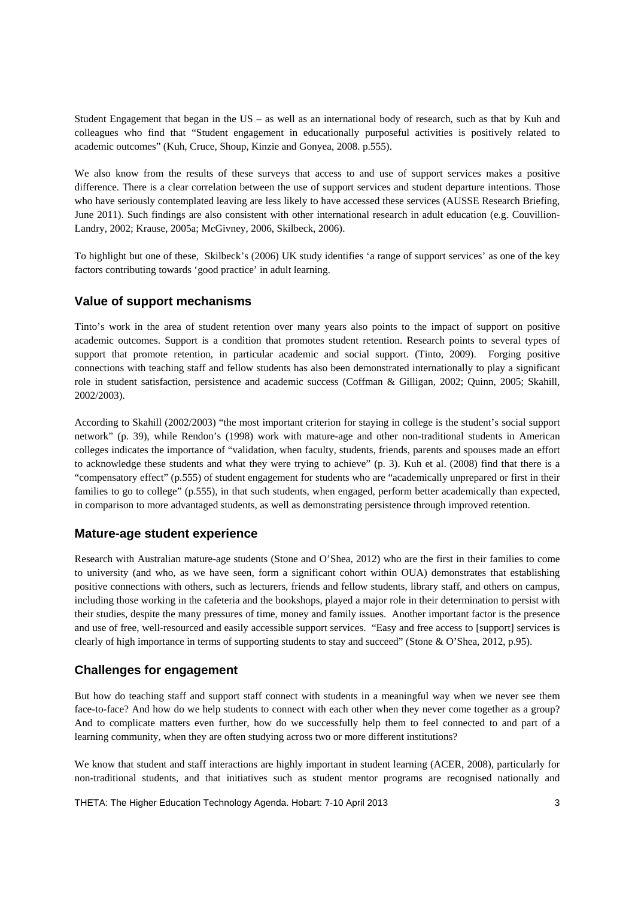Student Engagement that began in the US – as well as an international body of research, such as that by Kuh and colleagues who find that "Student engagement in educationally purposeful activities is positively related to academic outcomes" (Kuh, Cruce, Shoup, Kinzie and Gonyea, 2008. p.555).

We also know from the results of these surveys that access to and use of support services makes a positive difference. There is a clear correlation between the use of support services and student departure intentions. Those who have seriously contemplated leaving are less likely to have accessed these services (AUSSE Research Briefing, June 2011). Such findings are also consistent with other international research in adult education (e.g. Couvillion-Landry, 2002; Krause, 2005a; McGivney, 2006, Skilbeck, 2006).

To highlight but one of these, Skilbeck's (2006) UK study identifies 'a range of support services' as one of the key factors contributing towards 'good practice' in adult learning.

### **Value of support mechanisms**

Tinto's work in the area of student retention over many years also points to the impact of support on positive academic outcomes. Support is a condition that promotes student retention. Research points to several types of support that promote retention, in particular academic and social support. (Tinto, 2009). Forging positive connections with teaching staff and fellow students has also been demonstrated internationally to play a significant role in student satisfaction, persistence and academic success (Coffman & Gilligan, 2002; Quinn, 2005; Skahill, 2002/2003).

According to Skahill (2002/2003) "the most important criterion for staying in college is the student's social support network" (p. 39), while Rendon's (1998) work with mature-age and other non-traditional students in American colleges indicates the importance of "validation, when faculty, students, friends, parents and spouses made an effort to acknowledge these students and what they were trying to achieve" (p. 3). Kuh et al. (2008) find that there is a "compensatory effect" (p.555) of student engagement for students who are "academically unprepared or first in their families to go to college" (p.555), in that such students, when engaged, perform better academically than expected, in comparison to more advantaged students, as well as demonstrating persistence through improved retention.

#### **Mature-age student experience**

Research with Australian mature-age students (Stone and O'Shea, 2012) who are the first in their families to come to university (and who, as we have seen, form a significant cohort within OUA) demonstrates that establishing positive connections with others, such as lecturers, friends and fellow students, library staff, and others on campus, including those working in the cafeteria and the bookshops, played a major role in their determination to persist with their studies, despite the many pressures of time, money and family issues. Another important factor is the presence and use of free, well-resourced and easily accessible support services. "Easy and free access to [support] services is clearly of high importance in terms of supporting students to stay and succeed" (Stone & O'Shea, 2012, p.95).

### **Challenges for engagement**

But how do teaching staff and support staff connect with students in a meaningful way when we never see them face-to-face? And how do we help students to connect with each other when they never come together as a group? And to complicate matters even further, how do we successfully help them to feel connected to and part of a learning community, when they are often studying across two or more different institutions?

We know that student and staff interactions are highly important in student learning (ACER, 2008), particularly for non-traditional students, and that initiatives such as student mentor programs are recognised nationally and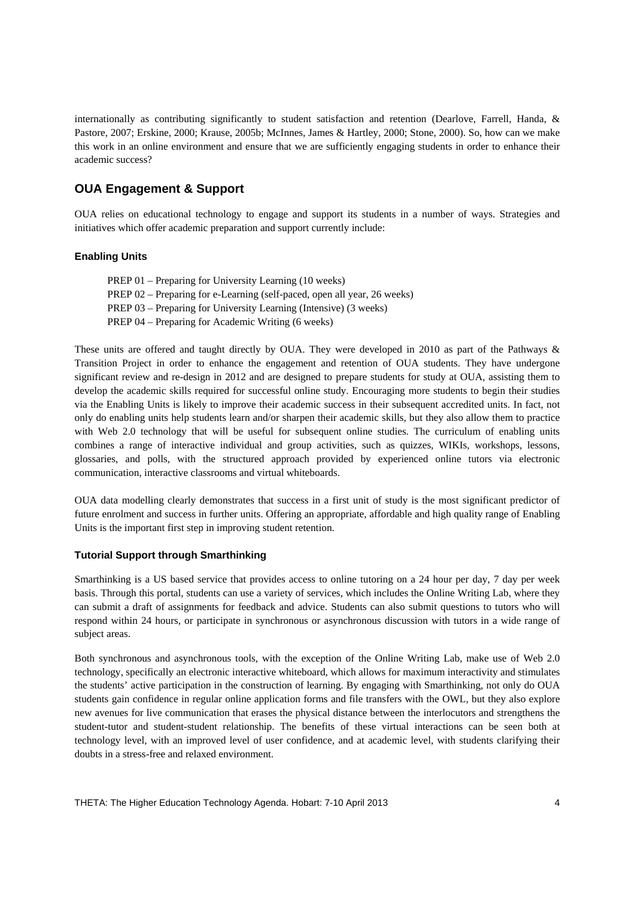internationally as contributing significantly to student satisfaction and retention (Dearlove, Farrell, Handa, & Pastore, 2007; Erskine, 2000; Krause, 2005b; McInnes, James & Hartley, 2000; Stone, 2000). So, how can we make this work in an online environment and ensure that we are sufficiently engaging students in order to enhance their academic success?

# **OUA Engagement & Support**

OUA relies on educational technology to engage and support its students in a number of ways. Strategies and initiatives which offer academic preparation and support currently include:

### **Enabling Units**

PREP 01 – Preparing for University Learning (10 weeks) PREP 02 – Preparing for e-Learning (self-paced, open all year, 26 weeks) PREP 03 – Preparing for University Learning (Intensive) (3 weeks) PREP 04 – Preparing for Academic Writing (6 weeks)

These units are offered and taught directly by OUA. They were developed in 2010 as part of the Pathways & Transition Project in order to enhance the engagement and retention of OUA students. They have undergone significant review and re-design in 2012 and are designed to prepare students for study at OUA, assisting them to develop the academic skills required for successful online study. Encouraging more students to begin their studies via the Enabling Units is likely to improve their academic success in their subsequent accredited units. In fact, not only do enabling units help students learn and/or sharpen their academic skills, but they also allow them to practice with Web 2.0 technology that will be useful for subsequent online studies. The curriculum of enabling units combines a range of interactive individual and group activities, such as quizzes, WIKIs, workshops, lessons, glossaries, and polls, with the structured approach provided by experienced online tutors via electronic communication, interactive classrooms and virtual whiteboards.

OUA data modelling clearly demonstrates that success in a first unit of study is the most significant predictor of future enrolment and success in further units. Offering an appropriate, affordable and high quality range of Enabling Units is the important first step in improving student retention.

#### **Tutorial Support through Smarthinking**

Smarthinking is a US based service that provides access to online tutoring on a 24 hour per day, 7 day per week basis. Through this portal, students can use a variety of services, which includes the Online Writing Lab, where they can submit a draft of assignments for feedback and advice. Students can also submit questions to tutors who will respond within 24 hours, or participate in synchronous or asynchronous discussion with tutors in a wide range of subject areas.

Both synchronous and asynchronous tools, with the exception of the Online Writing Lab, make use of Web 2.0 technology, specifically an electronic interactive whiteboard, which allows for maximum interactivity and stimulates the students' active participation in the construction of learning. By engaging with Smarthinking, not only do OUA students gain confidence in regular online application forms and file transfers with the OWL, but they also explore new avenues for live communication that erases the physical distance between the interlocutors and strengthens the student-tutor and student-student relationship. The benefits of these virtual interactions can be seen both at technology level, with an improved level of user confidence, and at academic level, with students clarifying their doubts in a stress-free and relaxed environment.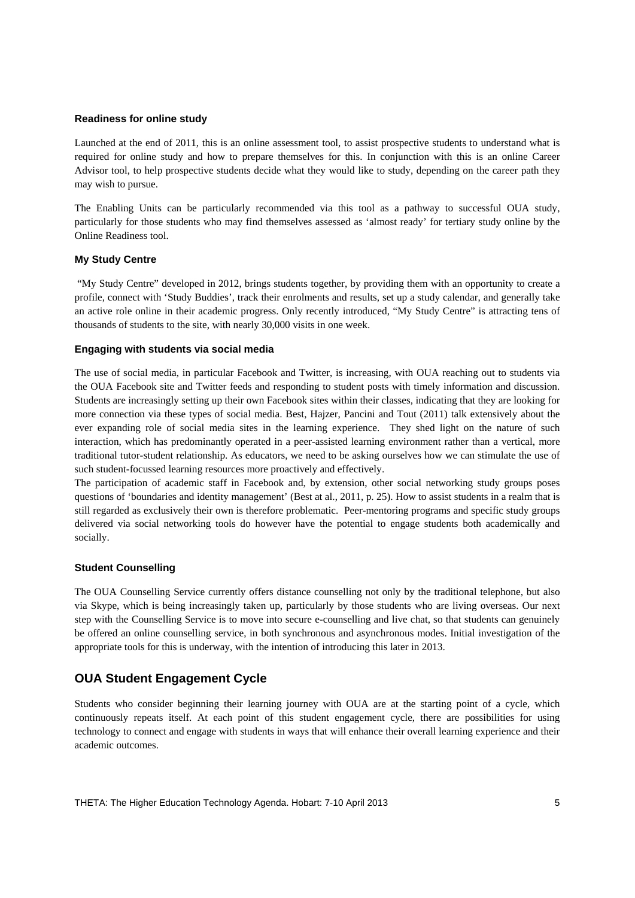#### **Readiness for online study**

Launched at the end of 2011, this is an online assessment tool, to assist prospective students to understand what is required for online study and how to prepare themselves for this. In conjunction with this is an online Career Advisor tool, to help prospective students decide what they would like to study, depending on the career path they may wish to pursue.

The Enabling Units can be particularly recommended via this tool as a pathway to successful OUA study, particularly for those students who may find themselves assessed as 'almost ready' for tertiary study online by the Online Readiness tool.

#### **My Study Centre**

 "My Study Centre" developed in 2012, brings students together, by providing them with an opportunity to create a profile, connect with 'Study Buddies', track their enrolments and results, set up a study calendar, and generally take an active role online in their academic progress. Only recently introduced, "My Study Centre" is attracting tens of thousands of students to the site, with nearly 30,000 visits in one week.

#### **Engaging with students via social media**

The use of social media, in particular Facebook and Twitter, is increasing, with OUA reaching out to students via the OUA Facebook site and Twitter feeds and responding to student posts with timely information and discussion. Students are increasingly setting up their own Facebook sites within their classes, indicating that they are looking for more connection via these types of social media. Best, Hajzer, Pancini and Tout (2011) talk extensively about the ever expanding role of social media sites in the learning experience. They shed light on the nature of such interaction, which has predominantly operated in a peer-assisted learning environment rather than a vertical, more traditional tutor-student relationship. As educators, we need to be asking ourselves how we can stimulate the use of such student-focussed learning resources more proactively and effectively.

The participation of academic staff in Facebook and, by extension, other social networking study groups poses questions of 'boundaries and identity management' (Best at al., 2011, p. 25). How to assist students in a realm that is still regarded as exclusively their own is therefore problematic. Peer-mentoring programs and specific study groups delivered via social networking tools do however have the potential to engage students both academically and socially.

#### **Student Counselling**

The OUA Counselling Service currently offers distance counselling not only by the traditional telephone, but also via Skype, which is being increasingly taken up, particularly by those students who are living overseas. Our next step with the Counselling Service is to move into secure e-counselling and live chat, so that students can genuinely be offered an online counselling service, in both synchronous and asynchronous modes. Initial investigation of the appropriate tools for this is underway, with the intention of introducing this later in 2013.

### **OUA Student Engagement Cycle**

Students who consider beginning their learning journey with OUA are at the starting point of a cycle, which continuously repeats itself. At each point of this student engagement cycle, there are possibilities for using technology to connect and engage with students in ways that will enhance their overall learning experience and their academic outcomes.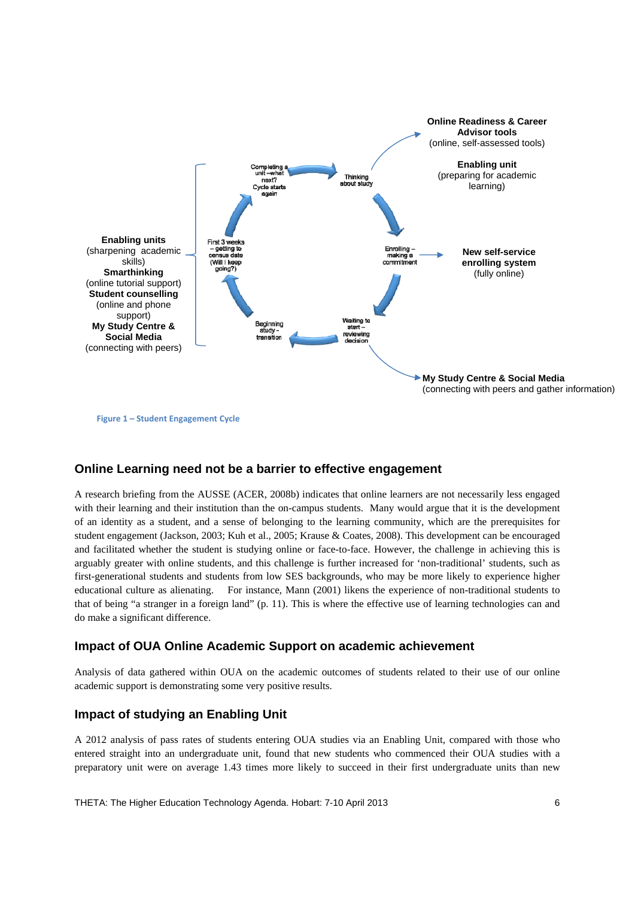

**Figure 1 – Student Engagement Cycle**

# **Online Learning need not be a barrier to effective engagement**

A research briefing from the AUSSE (ACER, 2008b) indicates that online learners are not necessarily less engaged with their learning and their institution than the on-campus students. Many would argue that it is the development of an identity as a student, and a sense of belonging to the learning community, which are the prerequisites for student engagement (Jackson, 2003; Kuh et al., 2005; Krause & Coates, 2008). This development can be encouraged and facilitated whether the student is studying online or face-to-face. However, the challenge in achieving this is arguably greater with online students, and this challenge is further increased for 'non-traditional' students, such as first-generational students and students from low SES backgrounds, who may be more likely to experience higher educational culture as alienating. For instance, Mann (2001) likens the experience of non-traditional students to that of being "a stranger in a foreign land" (p. 11). This is where the effective use of learning technologies can and do make a significant difference.

### **Impact of OUA Online Academic Support on academic achievement**

Analysis of data gathered within OUA on the academic outcomes of students related to their use of our online academic support is demonstrating some very positive results.

# **Impact of studying an Enabling Unit**

A 2012 analysis of pass rates of students entering OUA studies via an Enabling Unit, compared with those who entered straight into an undergraduate unit, found that new students who commenced their OUA studies with a preparatory unit were on average 1.43 times more likely to succeed in their first undergraduate units than new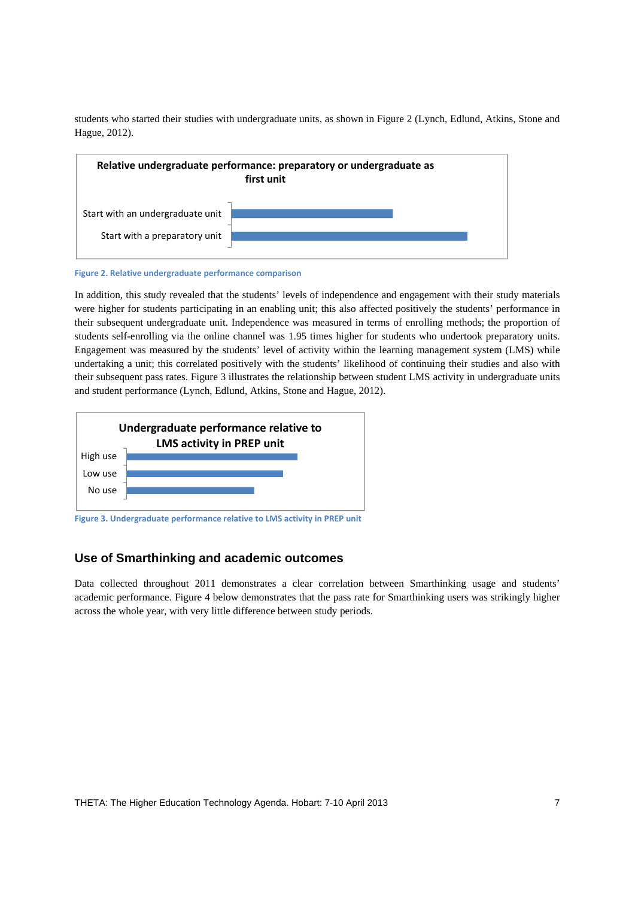students who started their studies with undergraduate units, as shown in Figure 2 (Lynch, Edlund, Atkins, Stone and Hague, 2012).



**Figure 2. Relative undergraduate performance comparison**

In addition, this study revealed that the students' levels of independence and engagement with their study materials were higher for students participating in an enabling unit; this also affected positively the students' performance in their subsequent undergraduate unit. Independence was measured in terms of enrolling methods; the proportion of students self-enrolling via the online channel was 1.95 times higher for students who undertook preparatory units. Engagement was measured by the students' level of activity within the learning management system (LMS) while undertaking a unit; this correlated positively with the students' likelihood of continuing their studies and also with their subsequent pass rates. Figure 3 illustrates the relationship between student LMS activity in undergraduate units and student performance (Lynch, Edlund, Atkins, Stone and Hague, 2012).



**Figure 3. Undergraduate performance relative to LMS activity in PREP unit**

### **Use of Smarthinking and academic outcomes**

Data collected throughout 2011 demonstrates a clear correlation between Smarthinking usage and students' academic performance. Figure 4 below demonstrates that the pass rate for Smarthinking users was strikingly higher across the whole year, with very little difference between study periods.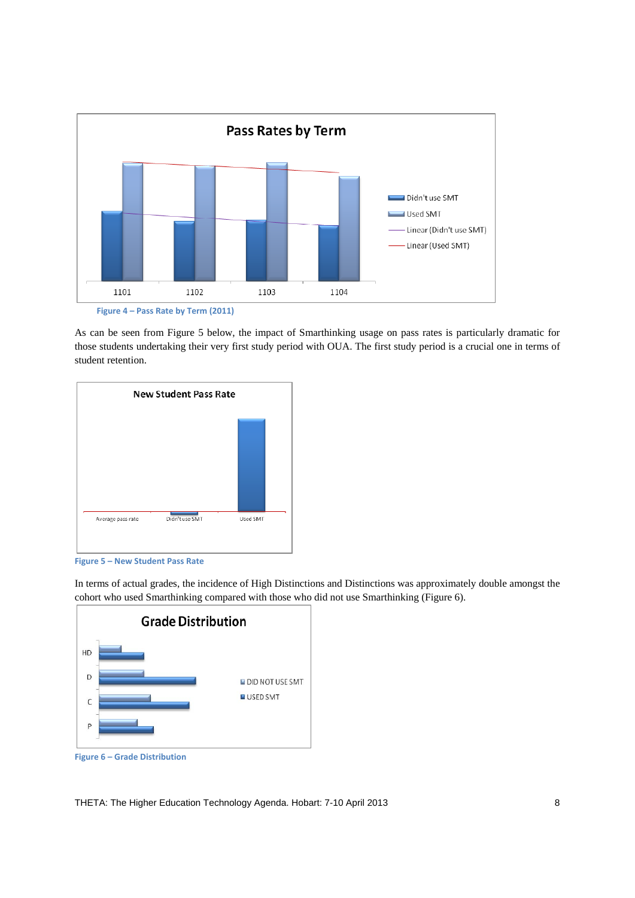

**Figure 4 – Pass Rate by Term (2011)**

As can be seen from Figure 5 below, the impact of Smarthinking usage on pass rates is particularly dramatic for those students undertaking their very first study period with OUA. The first study period is a crucial one in terms of student retention.





In terms of actual grades, the incidence of High Distinctions and Distinctions was approximately double amongst the cohort who used Smarthinking compared with those who did not use Smarthinking (Figure 6).



THETA: The Higher Education Technology Agenda. Hobart: 7-10 April 2013 8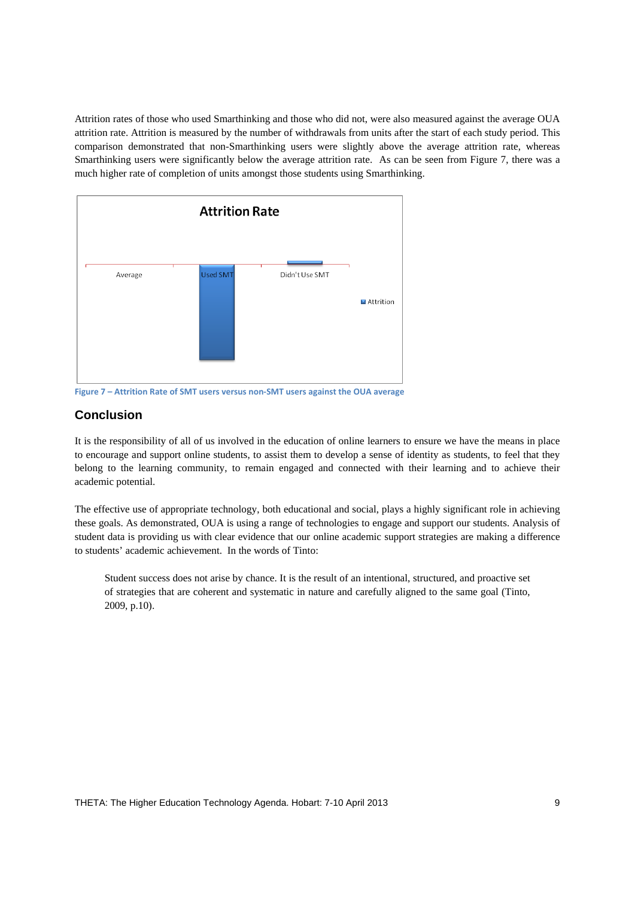Attrition rates of those who used Smarthinking and those who did not, were also measured against the average OUA attrition rate. Attrition is measured by the number of withdrawals from units after the start of each study period. This comparison demonstrated that non-Smarthinking users were slightly above the average attrition rate, whereas Smarthinking users were significantly below the average attrition rate. As can be seen from Figure 7, there was a much higher rate of completion of units amongst those students using Smarthinking.



**Figure 7 – Attrition Rate of SMT users versus non‐SMT users against the OUA average**

# **Conclusion**

It is the responsibility of all of us involved in the education of online learners to ensure we have the means in place to encourage and support online students, to assist them to develop a sense of identity as students, to feel that they belong to the learning community, to remain engaged and connected with their learning and to achieve their academic potential.

The effective use of appropriate technology, both educational and social, plays a highly significant role in achieving these goals. As demonstrated, OUA is using a range of technologies to engage and support our students. Analysis of student data is providing us with clear evidence that our online academic support strategies are making a difference to students' academic achievement. In the words of Tinto:

Student success does not arise by chance. It is the result of an intentional, structured, and proactive set of strategies that are coherent and systematic in nature and carefully aligned to the same goal (Tinto, 2009, p.10).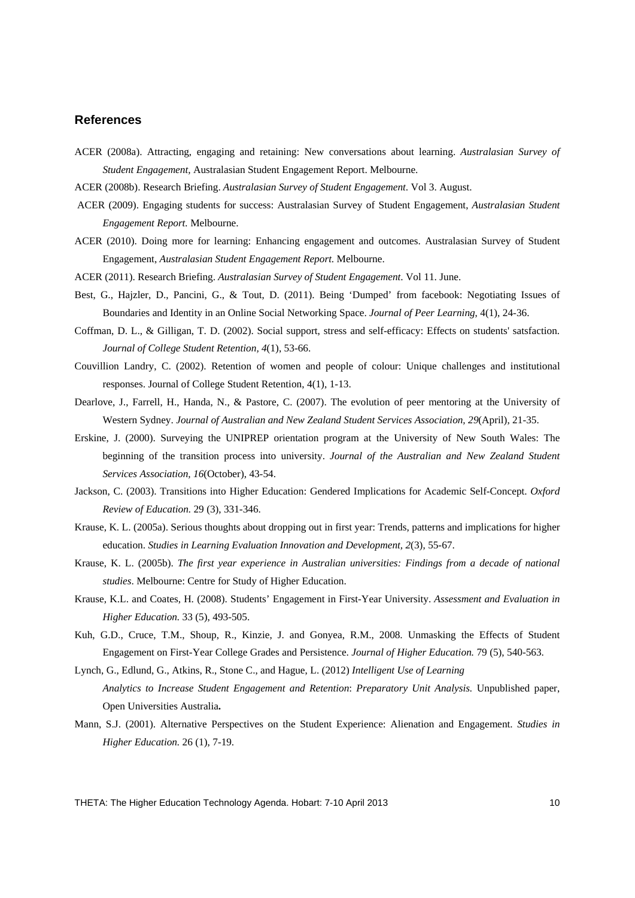#### **References**

- ACER (2008a). Attracting, engaging and retaining: New conversations about learning. *Australasian Survey of Student Engagement,* Australasian Student Engagement Report. Melbourne.
- ACER (2008b). Research Briefing. *Australasian Survey of Student Engagement*. Vol 3. August.
- ACER (2009). Engaging students for success: Australasian Survey of Student Engagement, *Australasian Student Engagement Report.* Melbourne.
- ACER (2010). Doing more for learning: Enhancing engagement and outcomes. Australasian Survey of Student Engagement, *Australasian Student Engagement Report*. Melbourne.
- ACER (2011). Research Briefing. *Australasian Survey of Student Engagement*. Vol 11. June.
- Best, G., Hajzler, D., Pancini, G., & Tout, D. (2011). Being 'Dumped' from facebook: Negotiating Issues of Boundaries and Identity in an Online Social Networking Space. *Journal of Peer Learning*, 4(1), 24-36.
- Coffman, D. L., & Gilligan, T. D. (2002). Social support, stress and self-efficacy: Effects on students' satsfaction. *Journal of College Student Retention, 4*(1), 53-66.
- Couvillion Landry, C. (2002). Retention of women and people of colour: Unique challenges and institutional responses. Journal of College Student Retention, 4(1), 1-13.
- Dearlove, J., Farrell, H., Handa, N., & Pastore, C. (2007). The evolution of peer mentoring at the University of Western Sydney. *Journal of Australian and New Zealand Student Services Association, 29*(April), 21-35.
- Erskine, J. (2000). Surveying the UNIPREP orientation program at the University of New South Wales: The beginning of the transition process into university. *Journal of the Australian and New Zealand Student Services Association, 16*(October), 43-54.
- Jackson, C. (2003). Transitions into Higher Education: Gendered Implications for Academic Self-Concept. *Oxford Review of Education.* 29 (3), 331-346.
- Krause, K. L. (2005a). Serious thoughts about dropping out in first year: Trends, patterns and implications for higher education. *Studies in Learning Evaluation Innovation and Development, 2*(3), 55-67.
- Krause, K. L. (2005b). *The first year experience in Australian universities: Findings from a decade of national studies*. Melbourne: Centre for Study of Higher Education.
- Krause, K.L. and Coates, H. (2008). Students' Engagement in First-Year University. *Assessment and Evaluation in Higher Education.* 33 (5), 493-505.
- Kuh, G.D., Cruce, T.M., Shoup, R., Kinzie, J. and Gonyea, R.M., 2008. Unmasking the Effects of Student Engagement on First-Year College Grades and Persistence. *Journal of Higher Education.* 79 (5), 540-563.
- Lynch, G., Edlund, G., Atkins, R., Stone C., and Hague, L. (2012) *Intelligent Use of Learning Analytics to Increase Student Engagement and Retention*: *Preparatory Unit Analysis.* Unpublished paper, Open Universities Australia**.**
- Mann, S.J. (2001). Alternative Perspectives on the Student Experience: Alienation and Engagement. *Studies in Higher Education.* 26 (1), 7-19.